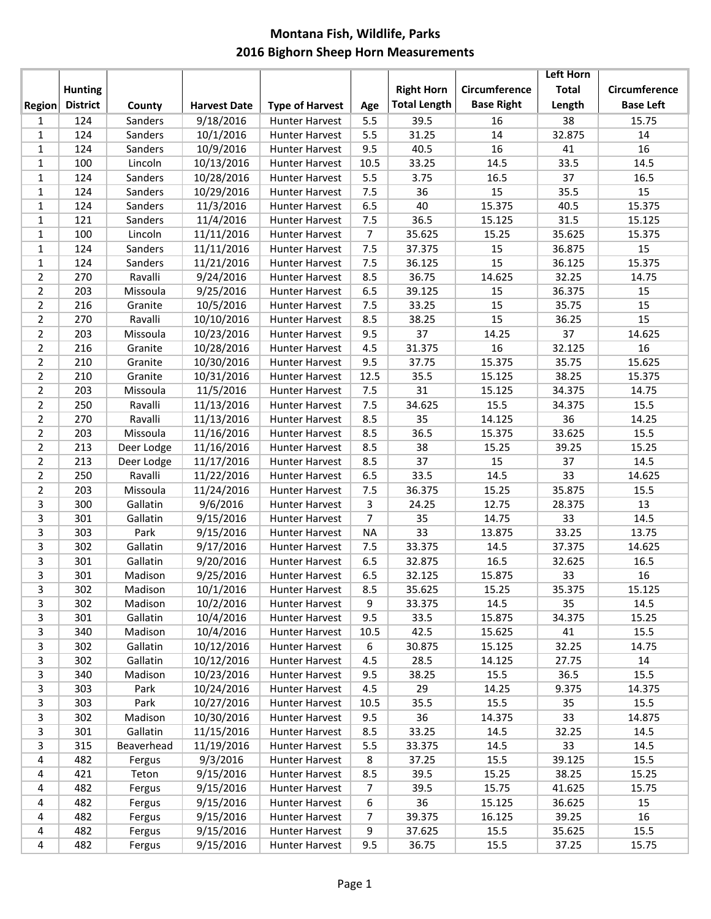## **Montana Fish, Wildlife, Parks 2016 Bighorn Sheep Horn Measurements**

|                |                 |            |                     |                        |                |                     |                   | <b>Left Horn</b> |                  |
|----------------|-----------------|------------|---------------------|------------------------|----------------|---------------------|-------------------|------------------|------------------|
|                | <b>Hunting</b>  |            |                     |                        |                | <b>Right Horn</b>   | Circumference     | <b>Total</b>     | Circumference    |
| <b>Region</b>  | <b>District</b> | County     | <b>Harvest Date</b> | <b>Type of Harvest</b> | Age            | <b>Total Length</b> | <b>Base Right</b> | Length           | <b>Base Left</b> |
| 1              | 124             | Sanders    | 9/18/2016           | <b>Hunter Harvest</b>  | 5.5            | 39.5                | 16                | 38               | 15.75            |
| $\mathbf{1}$   | 124             | Sanders    | 10/1/2016           | <b>Hunter Harvest</b>  | 5.5            | 31.25               | 14                | 32.875           | 14               |
| $\mathbf{1}$   | 124             | Sanders    | 10/9/2016           | Hunter Harvest         | 9.5            | 40.5                | 16                | 41               | 16               |
| $\mathbf{1}$   | 100             | Lincoln    | 10/13/2016          | <b>Hunter Harvest</b>  | 10.5           | 33.25               | 14.5              | 33.5             | 14.5             |
| $\mathbf{1}$   | 124             | Sanders    | 10/28/2016          | <b>Hunter Harvest</b>  | 5.5            | 3.75                | 16.5              | 37               | 16.5             |
| $\mathbf{1}$   | 124             | Sanders    | 10/29/2016          | <b>Hunter Harvest</b>  | 7.5            | 36                  | 15                | 35.5             | 15               |
| $\mathbf 1$    | 124             | Sanders    | 11/3/2016           | <b>Hunter Harvest</b>  | 6.5            | 40                  | 15.375            | 40.5             | 15.375           |
| $\mathbf{1}$   | 121             | Sanders    | 11/4/2016           | <b>Hunter Harvest</b>  | 7.5            | 36.5                | 15.125            | 31.5             | 15.125           |
| $\mathbf{1}$   | 100             | Lincoln    | 11/11/2016          | <b>Hunter Harvest</b>  | $\overline{7}$ | 35.625              | 15.25             | 35.625           | 15.375           |
| $\mathbf{1}$   | 124             | Sanders    | 11/11/2016          | <b>Hunter Harvest</b>  | 7.5            | 37.375              | 15                | 36.875           | 15               |
| $\mathbf 1$    | 124             | Sanders    | 11/21/2016          | <b>Hunter Harvest</b>  | 7.5            | 36.125              | 15                | 36.125           | 15.375           |
| $\overline{2}$ | 270             | Ravalli    | 9/24/2016           | <b>Hunter Harvest</b>  | 8.5            | 36.75               | 14.625            | 32.25            | 14.75            |
| $\overline{2}$ | 203             | Missoula   | 9/25/2016           | <b>Hunter Harvest</b>  | 6.5            | 39.125              | 15                | 36.375           | 15               |
| $\overline{2}$ | 216             | Granite    | 10/5/2016           | <b>Hunter Harvest</b>  | 7.5            | 33.25               | 15                | 35.75            | 15               |
| $\overline{2}$ | 270             | Ravalli    | 10/10/2016          | <b>Hunter Harvest</b>  | 8.5            | 38.25               | 15                | 36.25            | 15               |
| $\overline{2}$ | 203             | Missoula   | 10/23/2016          | <b>Hunter Harvest</b>  | 9.5            | 37                  | 14.25             | 37               | 14.625           |
|                |                 |            |                     | <b>Hunter Harvest</b>  |                |                     | 16                |                  | 16               |
| $\overline{2}$ | 216             | Granite    | 10/28/2016          |                        | 4.5            | 31.375              |                   | 32.125           |                  |
| $\overline{2}$ | 210             | Granite    | 10/30/2016          | <b>Hunter Harvest</b>  | 9.5            | 37.75               | 15.375            | 35.75            | 15.625           |
| $\overline{2}$ | 210             | Granite    | 10/31/2016          | <b>Hunter Harvest</b>  | 12.5           | 35.5                | 15.125            | 38.25            | 15.375           |
| $\overline{2}$ | 203             | Missoula   | 11/5/2016           | <b>Hunter Harvest</b>  | 7.5            | 31                  | 15.125            | 34.375           | 14.75            |
| $\overline{2}$ | 250             | Ravalli    | 11/13/2016          | <b>Hunter Harvest</b>  | 7.5            | 34.625              | 15.5              | 34.375           | 15.5             |
| $\overline{2}$ | 270             | Ravalli    | 11/13/2016          | <b>Hunter Harvest</b>  | 8.5            | 35                  | 14.125            | 36               | 14.25            |
| $\overline{2}$ | 203             | Missoula   | 11/16/2016          | <b>Hunter Harvest</b>  | 8.5            | 36.5                | 15.375            | 33.625           | 15.5             |
| $\overline{2}$ | 213             | Deer Lodge | 11/16/2016          | <b>Hunter Harvest</b>  | 8.5            | 38                  | 15.25             | 39.25            | 15.25            |
| $\overline{2}$ | 213             | Deer Lodge | 11/17/2016          | <b>Hunter Harvest</b>  | 8.5            | 37                  | 15                | 37               | 14.5             |
| $\overline{2}$ | 250             | Ravalli    | 11/22/2016          | <b>Hunter Harvest</b>  | 6.5            | 33.5                | 14.5              | 33               | 14.625           |
| $\overline{2}$ | 203             | Missoula   | 11/24/2016          | <b>Hunter Harvest</b>  | 7.5            | 36.375              | 15.25             | 35.875           | 15.5             |
| 3              | 300             | Gallatin   | 9/6/2016            | <b>Hunter Harvest</b>  | 3              | 24.25               | 12.75             | 28.375           | 13               |
| 3              | 301             | Gallatin   | 9/15/2016           | <b>Hunter Harvest</b>  | $\overline{7}$ | 35                  | 14.75             | 33               | 14.5             |
| 3              | 303             | Park       | 9/15/2016           | <b>Hunter Harvest</b>  | <b>NA</b>      | 33                  | 13.875            | 33.25            | 13.75            |
| 3              | 302             | Gallatin   | 9/17/2016           | <b>Hunter Harvest</b>  | 7.5            | 33.375              | 14.5              | 37.375           | 14.625           |
| 3              | 301             | Gallatin   | 9/20/2016           | Hunter Harvest         | 6.5            | 32.875              | 16.5              | 32.625           | 16.5             |
| 3              | 301             | Madison    | 9/25/2016           | Hunter Harvest         | 6.5            | 32.125              | 15.875            | 33               | 16               |
| 3              | 302             | Madison    | 10/1/2016           | <b>Hunter Harvest</b>  | 8.5            | 35.625              | 15.25             | 35.375           | 15.125           |
| 3              | 302             | Madison    | 10/2/2016           | Hunter Harvest         | 9              | 33.375              | 14.5              | 35               | 14.5             |
| 3              | 301             | Gallatin   | 10/4/2016           | <b>Hunter Harvest</b>  | 9.5            | 33.5                | 15.875            | 34.375           | 15.25            |
| 3              | 340             | Madison    | 10/4/2016           | <b>Hunter Harvest</b>  | 10.5           | 42.5                | 15.625            | 41               | 15.5             |
| 3              | 302             | Gallatin   | 10/12/2016          | <b>Hunter Harvest</b>  | 6              | 30.875              | 15.125            | 32.25            | 14.75            |
| 3              | 302             | Gallatin   | 10/12/2016          | Hunter Harvest         | 4.5            | 28.5                | 14.125            | 27.75            | 14               |
| 3              | 340             | Madison    | 10/23/2016          | Hunter Harvest         | 9.5            | 38.25               | 15.5              | 36.5             | 15.5             |
| 3              | 303             | Park       | 10/24/2016          | Hunter Harvest         | 4.5            | 29                  | 14.25             | 9.375            | 14.375           |
| 3              | 303             | Park       | 10/27/2016          | <b>Hunter Harvest</b>  | 10.5           | 35.5                | 15.5              | 35               | 15.5             |
| 3              | 302             | Madison    | 10/30/2016          | <b>Hunter Harvest</b>  | 9.5            | 36                  | 14.375            | 33               | 14.875           |
| 3              | 301             | Gallatin   | 11/15/2016          | Hunter Harvest         | 8.5            | 33.25               | 14.5              | 32.25            | 14.5             |
| 3              | 315             | Beaverhead | 11/19/2016          | Hunter Harvest         | 5.5            | 33.375              | 14.5              | 33               | 14.5             |
| 4              | 482             | Fergus     | 9/3/2016            | Hunter Harvest         | 8              | 37.25               | 15.5              | 39.125           | 15.5             |
| 4              | 421             | Teton      | 9/15/2016           | <b>Hunter Harvest</b>  | 8.5            | 39.5                | 15.25             | 38.25            | 15.25            |
| 4              | 482             | Fergus     | 9/15/2016           | <b>Hunter Harvest</b>  | $\overline{7}$ | 39.5                | 15.75             | 41.625           | 15.75            |
| 4              | 482             | Fergus     | 9/15/2016           | <b>Hunter Harvest</b>  | 6              | 36                  | 15.125            | 36.625           | 15               |
| 4              | 482             | Fergus     | 9/15/2016           | Hunter Harvest         | $\overline{7}$ | 39.375              | 16.125            | 39.25            | 16               |
| 4              | 482             | Fergus     | 9/15/2016           | Hunter Harvest         | 9              | 37.625              | 15.5              | 35.625           | 15.5             |
| 4              | 482             | Fergus     | 9/15/2016           | Hunter Harvest         | 9.5            | 36.75               | 15.5              | 37.25            | 15.75            |
|                |                 |            |                     |                        |                |                     |                   |                  |                  |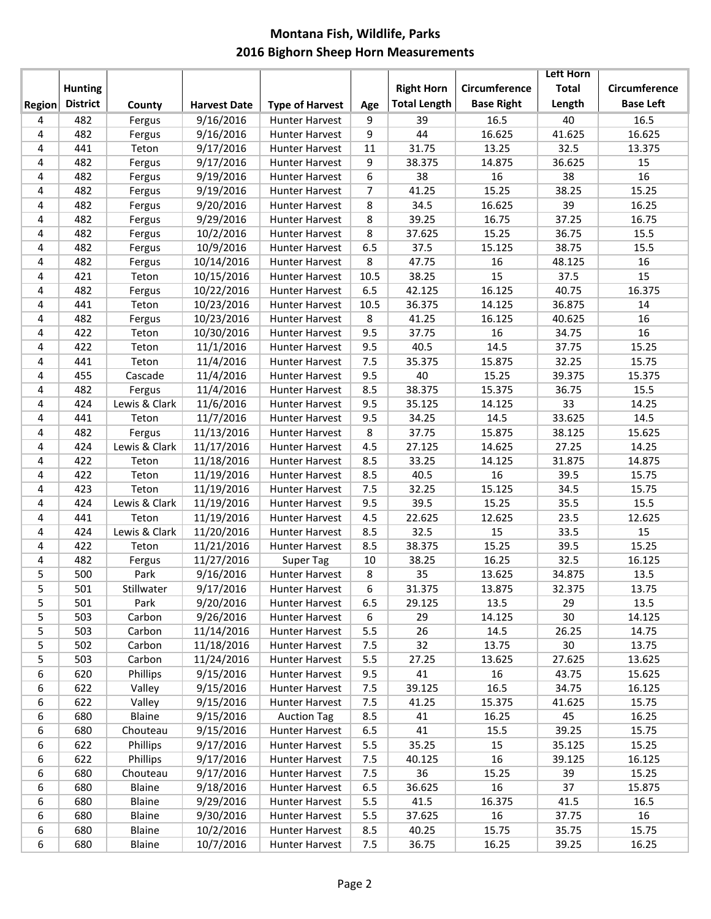## **Montana Fish, Wildlife, Parks 2016 Bighorn Sheep Horn Measurements**

|               |                 |               |                     |                        |                |                     |                   | <b>Left Horn</b> |                  |
|---------------|-----------------|---------------|---------------------|------------------------|----------------|---------------------|-------------------|------------------|------------------|
|               | <b>Hunting</b>  |               |                     |                        |                | <b>Right Horn</b>   | Circumference     | <b>Total</b>     | Circumference    |
| <b>Region</b> | <b>District</b> | County        | <b>Harvest Date</b> | <b>Type of Harvest</b> | Age            | <b>Total Length</b> | <b>Base Right</b> | Length           | <b>Base Left</b> |
| 4             | 482             | Fergus        | 9/16/2016           | Hunter Harvest         | 9              | 39                  | 16.5              | 40               | 16.5             |
| 4             | 482             | Fergus        | 9/16/2016           | Hunter Harvest         | 9              | 44                  | 16.625            | 41.625           | 16.625           |
| 4             | 441             | Teton         | 9/17/2016           | Hunter Harvest         | 11             | 31.75               | 13.25             | 32.5             | 13.375           |
| 4             | 482             | Fergus        | 9/17/2016           | Hunter Harvest         | 9              | 38.375              | 14.875            | 36.625           | 15               |
| 4             | 482             | Fergus        | 9/19/2016           | <b>Hunter Harvest</b>  | 6              | 38                  | 16                | 38               | 16               |
| 4             | 482             | Fergus        | 9/19/2016           | Hunter Harvest         | $\overline{7}$ | 41.25               | 15.25             | 38.25            | 15.25            |
| 4             | 482             | Fergus        | 9/20/2016           | Hunter Harvest         | 8              | 34.5                | 16.625            | 39               | 16.25            |
| 4             | 482             | Fergus        | 9/29/2016           | Hunter Harvest         | 8              | 39.25               | 16.75             | 37.25            | 16.75            |
| 4             | 482             | Fergus        | 10/2/2016           | Hunter Harvest         | 8              | 37.625              | 15.25             | 36.75            | 15.5             |
| 4             | 482             | Fergus        | 10/9/2016           | Hunter Harvest         | 6.5            | 37.5                | 15.125            | 38.75            | 15.5             |
| 4             | 482             | Fergus        | 10/14/2016          | Hunter Harvest         | 8              | 47.75               | 16                | 48.125           | 16               |
| 4             | 421             | Teton         | 10/15/2016          | Hunter Harvest         | 10.5           | 38.25               | 15                | 37.5             | 15               |
| 4             | 482             | Fergus        | 10/22/2016          | Hunter Harvest         | 6.5            | 42.125              | 16.125            | 40.75            | 16.375           |
| 4             | 441             | Teton         | 10/23/2016          | Hunter Harvest         | 10.5           | 36.375              | 14.125            | 36.875           | 14               |
| 4             | 482             | Fergus        | 10/23/2016          | Hunter Harvest         | 8              | 41.25               | 16.125            | 40.625           | 16               |
| 4             | 422             | Teton         | 10/30/2016          | Hunter Harvest         | 9.5            | 37.75               | 16                | 34.75            | 16               |
| 4             | 422             | Teton         | 11/1/2016           | <b>Hunter Harvest</b>  | 9.5            | 40.5                | 14.5              | 37.75            | 15.25            |
| 4             | 441             | Teton         | 11/4/2016           | Hunter Harvest         | 7.5            | 35.375              | 15.875            | 32.25            | 15.75            |
| 4             | 455             | Cascade       | 11/4/2016           | Hunter Harvest         | 9.5            | 40                  | 15.25             | 39.375           | 15.375           |
| 4             | 482             | Fergus        | 11/4/2016           | Hunter Harvest         | 8.5            | 38.375              | 15.375            | 36.75            | 15.5             |
| 4             | 424             | Lewis & Clark | 11/6/2016           | Hunter Harvest         | 9.5            | 35.125              | 14.125            | 33               | 14.25            |
| 4             | 441             | Teton         | 11/7/2016           | Hunter Harvest         | 9.5            | 34.25               | 14.5              | 33.625           | 14.5             |
| 4             | 482             | Fergus        | 11/13/2016          | Hunter Harvest         | 8              | 37.75               | 15.875            | 38.125           | 15.625           |
| 4             | 424             | Lewis & Clark | 11/17/2016          | Hunter Harvest         | 4.5            | 27.125              | 14.625            | 27.25            | 14.25            |
| 4             | 422             | Teton         | 11/18/2016          | Hunter Harvest         | 8.5            | 33.25               | 14.125            | 31.875           | 14.875           |
| 4             | 422             | Teton         | 11/19/2016          | Hunter Harvest         | 8.5            | 40.5                | 16                | 39.5             | 15.75            |
| 4             | 423             | Teton         | 11/19/2016          | <b>Hunter Harvest</b>  | 7.5            | 32.25               | 15.125            | 34.5             | 15.75            |
| 4             | 424             | Lewis & Clark | 11/19/2016          | <b>Hunter Harvest</b>  | 9.5            | 39.5                | 15.25             | 35.5             | 15.5             |
| 4             | 441             | Teton         | 11/19/2016          | Hunter Harvest         | 4.5            | 22.625              | 12.625            | 23.5             | 12.625           |
| 4             | 424             | Lewis & Clark | 11/20/2016          | Hunter Harvest         | 8.5            | 32.5                | 15                | 33.5             | 15               |
| 4             | 422             | Teton         | 11/21/2016          | Hunter Harvest         | 8.5            | 38.375              | 15.25             | 39.5             | 15.25            |
| 4             | 482             | Fergus        | 11/27/2016          | <b>Super Tag</b>       | 10             | 38.25               | 16.25             | 32.5             | 16.125           |
| 5             | 500             | Park          | 9/16/2016           | Hunter Harvest         | 8              | 35                  | 13.625            | 34.875           | 13.5             |
| 5             | 501             | Stillwater    | 9/17/2016           | Hunter Harvest         | $6\,$          | 31.375              | 13.875            | 32.375           | 13.75            |
| 5             | 501             | Park          | 9/20/2016           | Hunter Harvest         | 6.5            | 29.125              | 13.5              | 29               | 13.5             |
| 5             | 503             | Carbon        | 9/26/2016           | Hunter Harvest         | 6              | 29                  | 14.125            | 30               | 14.125           |
| 5             | 503             | Carbon        | 11/14/2016          | Hunter Harvest         | 5.5            | 26                  | 14.5              | 26.25            | 14.75            |
| 5             | 502             | Carbon        | 11/18/2016          | Hunter Harvest         | 7.5            | 32                  | 13.75             | 30               | 13.75            |
| 5             | 503             | Carbon        | 11/24/2016          | Hunter Harvest         | 5.5            | 27.25               | 13.625            | 27.625           | 13.625           |
| 6             | 620             | Phillips      | 9/15/2016           | Hunter Harvest         | 9.5            | 41                  | $16\,$            | 43.75            | 15.625           |
| 6             | 622             | Valley        | 9/15/2016           | Hunter Harvest         | 7.5            | 39.125              | 16.5              | 34.75            | 16.125           |
| 6             | 622             | Valley        | 9/15/2016           | Hunter Harvest         | 7.5            | 41.25               | 15.375            | 41.625           | 15.75            |
| 6             | 680             | Blaine        | 9/15/2016           | <b>Auction Tag</b>     | 8.5            | 41                  | 16.25             | 45               | 16.25            |
| 6             | 680             | Chouteau      | 9/15/2016           | Hunter Harvest         | 6.5            | 41                  | 15.5              | 39.25            | 15.75            |
| 6             | 622             | Phillips      | 9/17/2016           | Hunter Harvest         | 5.5            | 35.25               | 15                | 35.125           | 15.25            |
| 6             | 622             | Phillips      | 9/17/2016           | Hunter Harvest         | 7.5            | 40.125              | 16                | 39.125           | 16.125           |
| 6             | 680             | Chouteau      | 9/17/2016           | Hunter Harvest         | 7.5            | 36                  | 15.25             | 39               | 15.25            |
| 6             | 680             | Blaine        | 9/18/2016           | Hunter Harvest         | 6.5            | 36.625              | 16                | 37               | 15.875           |
| 6             | 680             | Blaine        | 9/29/2016           | Hunter Harvest         | 5.5            | 41.5                | 16.375            | 41.5             | 16.5             |
| 6             | 680             | Blaine        | 9/30/2016           | Hunter Harvest         | 5.5            | 37.625              | 16                | 37.75            | 16               |
| 6             | 680             | Blaine        | 10/2/2016           | Hunter Harvest         | 8.5            | 40.25               | 15.75             | 35.75            | 15.75            |
| 6             | 680             | Blaine        | 10/7/2016           | <b>Hunter Harvest</b>  | 7.5            | 36.75               | 16.25             | 39.25            | 16.25            |
|               |                 |               |                     |                        |                |                     |                   |                  |                  |